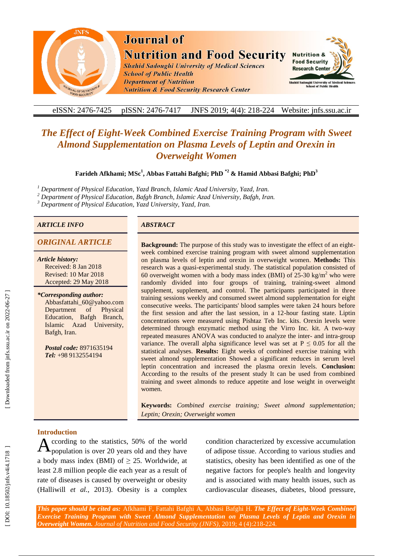

# **Journal of Nutrition and Food Security**

**Shahid Sadoughi University of Medical Sciences School of Public Health Department of Nutrition Nutrition & Food Security Research Center** 



#### eISSN: 2476-7425 pISSN: 2476-7417 -7417 JNFS 201 9; 4 ( 4): 218 Website: jnfs.ssu.ac.ir

## **The Effect of Eight-Week Combined Exercise Training Program with Sweet** *Almond Supplementation on Plasma Levels of Leptin and Orexin in Overweight Women*

**Farideh Afkhami; MSc 1 , Abbas Fattahi Bafghi ; PhD \* 2 & Hamid Abbasi Bafghi; PhD 3**

*<sup>1</sup> Department of Physical Education, Yazd Branch, Islamic Azad University, Yazd, Iran .*

<sup>2</sup> Department of Physical Education, Bafgh Branch, Islamic Azad University, Bafgh, Iran.

*<sup>3</sup> Department of Physical Education , Yazd University , Yazd, Iran .*

#### *ARTICLE INFO ABSTRACT*

#### **ORIGINAL ARTICLE**

*Article history:* Received: 8 Jan 2018 Revised: 10 Mar 2018 Accepted: 29 May 2018

*\*Corresponding author:* Abbasfattahi\_60@yahoo.com Department of Physical Education , Bafgh Branch, Islamic Azad University , Bafgh , Iran .

*Postal code:* 8971635194 *Tel:* +98 9132554194

**:** The purpose of this study was to investigate the effect of an eight week combined exercise training program with sweet almond supplementation on plasma levels of leptin and orexin in overweight women. **Methods:** This research was a quasi -experimental study. The statistical population consisted of 60 overweight women with a body mass index (BMI) of  $25{\text -}30$  kg/m<sup>2</sup> who were randomly divided into four groups of training, training -sweet almond supplement, supplement, and control. The participants participated in three training sessions weekly and consumed sweet almond supplementation for eight consecutive weeks. The participants' blood samples were taken 24 hours before the first session and after the last session, in a 12 -hour fasting state. Liptin concentrations were measured using Pishtaz Teb Inc. kits. Orexin levels were determined through enzymatic method using the Virro Inc. kit. A two-way repeated measures ANOVA was conducted to analyze the inter- and intra-group variance. The overall alpha significance level was set at  $P \le 0.05$  for all the statistical analyses. **Results:** Eight weeks of combined exercise training with sweet almond supplementation Showed a significant reduces in serum level leptin concentration and increased the plasma orexin levels. **Conclusion:** According to the results of the present study It can be used from combined training and sweet almonds to reduce appetite and lose weight in overweight women .

**Keywords:** *Combined exercise training ; Sweet almond supplementation ; Leptin ; Orexin ; Overweight women*

#### **Introduction**

ccording to the statistics, 50% of the world population is over 20 years old and they have a body mass index (BMI) of  $\geq$  25. Worldwide, at least 2.8 million people die each year as a result of rate of disease s is caused by overweight or obesity (Halliwill *et al.*, 2013). Obesity is a complex A

condition characterized by excessive accumulation of adipose tissue. According to various studies and statistics, obesity has been identified as one of the negative factors for people's health and longevity and is associated with many health issues, such as cardiovascular diseases, diabetes, blood pressure ,

*This paper should be cited as:* Afkhami F, Fattahi Bafghi A, Abbasi Bafghi H . *The Effect of Eight -Week Combined Exercise Training Program with Sweet Almond Supplementation on Plasma Levels of Leptin and Orexin in Overweight Women. Journal of Nutrition and Food Security (JNFS)*, 201 9; 4 (4):218 -224.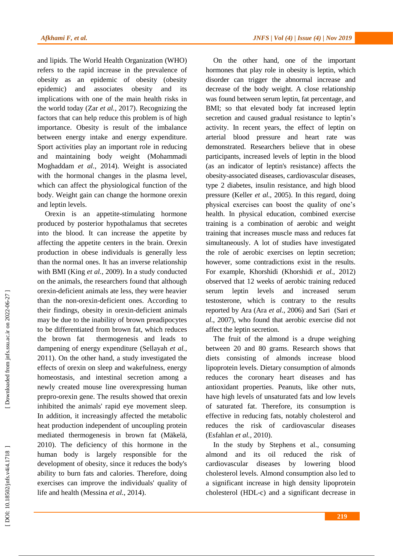and lipids. The World Health Organization (WHO) refers to the rapid increase in the prevalence of obesity as an epidemic of obesity (obesity epidemic) and associates obesity and its implications with one of the main health risks in the world today (Zar *et al.*, 2017). Recognizing the factors that can help reduce this problem is of high importance. Obesity is result of the imbalance between energy intake and energy expenditure. Sport activities play an important role in reducing and maintaining body weight (Mohammadi Moghaddam *et al.*, 2014). Weight is associated with the hormonal changes in the plasma level, which can affect the physiological function of the body. Weight gain can change the hormone orexin and leptin levels.

Orexin is an appetite -stimulating hormone produced by posterior hypothalamus that secrete s into the blood. It can increase the appetite by affecting the appetite centers in the brain. Orexin production in obese individuals is generally less than the normal ones. It has an inverse relationship with BMI (King *et al.*, 2009). In a study conducted on the animals, the researchers found that although orexin -deficient animals ate less, they were heavier than the non -orexin -deficient ones. According to their findings, obesity in orexin -deficient animals may be due to the inability of brown preadipocytes to be differentiate d from brown fat, which reduces the brown fat thermogenesis and lead s to dampening of energy expenditure (Sellayah *et al.*, 2011). On the other hand, a study investigated the effects of orexin on sleep and wakefulness, energy homeostasis , and intestinal secretion among a newly created mouse line overexpressing human prepro -orexin gene. The results showed that orexin inhibited the animals' rapid eye movement sleep. In addition, it increasingly affected the metabolic heat production independent of uncoupling protein mediated thermogenesis in brown fat (Mäkelä, 2010). The deficiency of this hormone in the human body is largely responsible for the development of obesity, since it reduces the body's ability to burn fats and calories. Therefore, doing exercises can improve the individuals' quality of life and health (Messina *et al.*, 2014) .

On the other hand, one of the important hormones that play role in obesity is leptin, which disorder can trigger the abnormal increase and decrease of the body weight. A close relationship was found between serum leptin, fat percentage , and BMI; so that elevated body fat increased leptin secretion and cause d gradual resistance to leptin's activity. In recent years, the effect of leptin on arterial blood pressure and heart rate was demonstrated. Researchers believe that in obese participants, increased levels of leptin in the blood (as an indicator of leptin's resistance) affect s the obesity -associated diseases, cardiovascular diseases, type 2 diabetes, insulin resistance, and high blood pressure (Keller *et al.*, 2005). In this regard, doing physical exercises can boost the quality of one's health. In physical education, combined exercise training is a combination of aerobic and weight training that increases muscle mass and reduces fat simultaneously. A lot of studies have investigated the role of aerobic exercises on leptin secretion; however, some contradictions exist in the results. For example, Khorshidi (Khorshidi *et al.*, 2012) observed that 12 weeks of aerobic training reduced serum leptin levels and increased serum testosterone, which is contrary to the results reported by Ara (Ara *et al.*, 2006) and Sari (Sari *et al.*, 2007), who found that aerobic exercise did not affect the leptin secretion.

The fruit of the almond is a drupe weighing between 20 and 80 grams. Research shows that diets consisting of almonds increase blood lipoprotein levels. Dietary consumption of almonds reduce s the coronary heart diseases and ha s antioxidant properties. Peanuts, like other nuts, have high levels of unsaturated fats and low level s of saturated fat. Therefore, its consumption is effective in reducing fats, notably cholesterol and reduces the risk of cardiovascular diseases (Esfah lan *et al.*, 2010) .

In the study by Stephens et al., consuming almond and its oil reduced the risk cardiovascular diseases by lowering blood cholesterol levels. Almond consumption also led to a significant increase in high density lipoprotein cholesterol (HDL -c) and a significant decrease in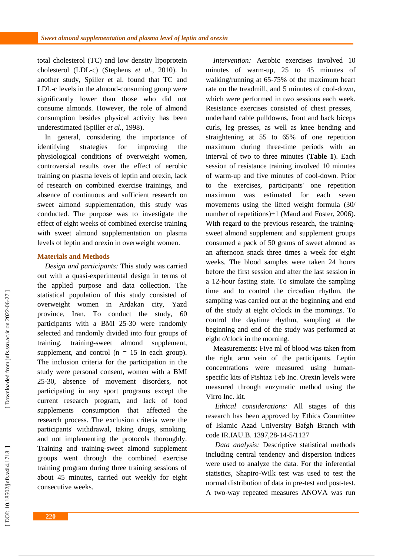total cholesterol (TC ) and low density lipoprotein cholesterol (LDL -c) (Stephens *et al.*, 2010). In another study, Spiller et al. found that TC and LDL - c levels in the almond -consuming group were significantly lower than those who did not consume almonds. However, the role of almond consumption besides physical activity has been underestimated (Spiller *et al.*, 1998) .

In general, considering the importance of identifying strategies for improving the physiological conditions of overweight women, controversial results over the effect of aerobic training on plasma levels of leptin and orexin, lack of research on combined exercise trainings, and absence of continuous and sufficient research on sweet almond supplementation, this study was conducted. The purpose was to investigate the effect of eight weeks of combined exercise training with sweet almond supplementation on plasma levels of leptin and orexin in overweight women .

#### **Materials and Methods**

*Design and participants:* This study was carried out with a quasi -experimental design in terms of the applied purpose and data collection. The statistical population of this study consisted of overweight women in Ardakan city, Yazd province, Iran. To conduct the study, 60 participants with a BMI 25 -30 were randomly selected and randomly divided into four groups of training, training -sweet almond supplement, supplement, and control ( $n = 15$  in each group). The inclusion criteria for the participation in the study were personal consent, women with a BMI 25 -30, absence of movement disorders, not participating in any sport programs except the current research program, and lack of food supplements consumption that affected the research process. The exclusion criteria were the participants' withdrawal, taking drugs, smoking, and not implementing the protocols thoroughly. Training and training -sweet almond supplement groups went through the combined exercise training program during three training sessions of about 45 minutes, carried out weekly for eight consecutive weeks.

*Intervention:* Aerobic exercises involved 10 minutes of warm -up, 25 to 45 minutes of walking/running at 65 -75% of the maximum heart rate on the treadmill, and 5 minutes of cool -down, which were performed in two sessions each week. Resistance exercises consisted of chest presses, underhand cable pulldowns, front and back biceps curls, leg presses, as well as knee bending and straightening at 55 to 65% of one repetition maximum during three -time periods with an interval of two to three minutes ( **Table 1** ). Each session of resistance training involved 10 minutes of warm -up and five minutes of cool -down. Prior to the exercises, participants' one repetition maximum was estimated for each seven movements using the lifted weight formula (30/ number of repetitions)+1 (Maud and Foster, 2006). With regard to the previous research, the trainingsweet almond supplement and supplement groups consumed a pack of 50 grams of sweet almond as an afternoon snack three times a week for eight weeks. The blood samples were taken 24 hours before the first session and after the last session in a 12 -hour fasting state. To simulate the sampling time and to control the circadian rhythm, the sampling was carried out at the beginning and end of the study at eight o'clock in the mornings. To control the daytime rhythm, sampling at the beginning and end of the study was performed at eight o'clock in the morning.

Measurements: Five ml of blood was taken from the right arm vein of the participants. Leptin concentrations were measured using human specific kits of Pishtaz Teb Inc. Orexin levels were measured through enzymatic method using the Virro Inc. kit.

*Ethical considerations:* All stages of this research has been approved by Ethics Committee of Islamic Azad University Bafgh Branch with code IR.IAU.B. 1397,28-14-5/1127

*Data analysis:* Descriptive statistical methods including central tendency and dispersion indices were used to analyze the data. For the inferential statistics, Shapiro -Wilk test was used to test the normal distribution of data in pre -test and post -test. A two -way repeated measures ANOVA was run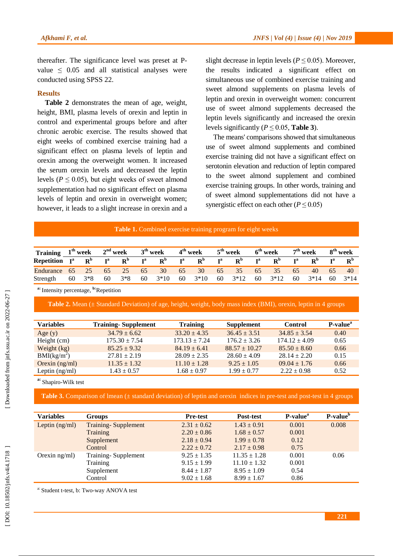thereafter. The significance level was preset at Pvalue  $\leq$  0.05 and all statistical analyses were conducted using SPSS 22.

#### **Results**

**Table 2** demonstrates the mean of age, weight, height, BMI, plasma levels of orexin and leptin in control and experimental groups before and after chronic aerobic exercise. The results showed that eight weeks of combined exercise training had a significant effect on plasma levels of leptin and orexin among the overweight women. It increased the serum orexin levels and decreased the leptin levels ( $P \leq 0.05$ ), but eight weeks of sweet almond supplementation had no significant effect on plasma levels of leptin and orexin in overweight women; however, it lead s to a slight increase in orexin and a

slight decrease in leptin levels ( $P \le 0.05$ ). Moreover, the results indicated a significant effect on simultaneous use of combined exercise training and sweet almond supplements on plasma levels of leptin and orexin in overweight women: concurrent use of sweet almond supplements decreased the leptin levels significantly and increased the orexin levels significantly ( $P \le 0.05$ , **Table 3**).

The means' comparisons showed that simultaneous use of sweet almond supplements and combined exercise training did not have a significant effect on serotonin elevation and reduction of leptin compared to the sweet almond supplement and combined exercise training groups. In other words, training and of sweet almond supplementations did not have a synergistic effect on each other ( $P \le 0.05$ )

#### Table 1. Combined exercise training program for eight weeks

| Training $1^{th}$ week $2^{nd}$ week $3^{th}$ week |  |    |                         |                          | 4 <sup>th</sup> week | $5^{\text{th}}$ week    | $6^{\text{th}}$ week |                   | $7th$ week                          | 8 <sup>th</sup> week |
|----------------------------------------------------|--|----|-------------------------|--------------------------|----------------------|-------------------------|----------------------|-------------------|-------------------------------------|----------------------|
| Repetition $I^a$ R <sup>b</sup>                    |  |    | $I^a$ $R^b$ $I^a$ $R^b$ |                          | $I^a$ $R^b$          | $I^a$ $R^b$ $I^a$ $R^b$ |                      | ${\bf I}^{\bf a}$ | $R^b$                               | $I^a$ $R^b$          |
| Endurance 65 25 65 25 65 30 65 30 65 35 65 35 65   |  |    |                         |                          |                      |                         |                      |                   |                                     | 40 65 40             |
| Strength $60 \quad 3*8$                            |  | 60 | $3*8$                   | $60 \quad 3*10 \quad 60$ | $3*10$ 60 $3*12$     |                         | 60 3*12              |                   | $60 \quad 3*14 \quad 60 \quad 3*14$ |                      |

**a:** Intensity percentage, **b:**Repetition

**Table 2.** Mean ( $\pm$  Standard Deviation) of age, height, weight, body mass index (BMI), orexin, leptin in 4 groups

| <b>Variables</b>        | <b>Training-Supplement</b> | <b>Training</b>   | <b>Supplement</b> | <b>Control</b>    | P-value <sup>a</sup> |
|-------------------------|----------------------------|-------------------|-------------------|-------------------|----------------------|
| Age $(y)$               | $34.79 \pm 6.62$           | $33.20 \pm 4.35$  | $36.45 \pm 3.51$  | $34.85 \pm 3.54$  | 0.40                 |
| Height (cm)             | $175.30 \pm 7.54$          | $173.13 \pm 7.24$ | $176.2 \pm 3.26$  | $174.12 \pm 4.09$ | 0.65                 |
| Weight (kg)             | $85.25 \pm 9.32$           | $84.19 \pm 6.41$  | $88.57 \pm 10.27$ | $85.50 \pm 8.60$  | 0.66                 |
| BMI(kg/m <sup>2</sup> ) | $27.81 \pm 2.19$           | $28.09 \pm 2.35$  | $28.60 \pm 4.09$  | $28.14 + 2.20$    | 0.15                 |
| Orexin $(ng/ml)$        | $11.35 \pm 1.32$           | $11.10 \pm 1.28$  | $9.25 \pm 1.05$   | $09.04 \pm 1.76$  | 0.66                 |
| Leptin $(ng/ml)$        | $1.43 \pm 0.57$            | $1.68 \pm 0.97$   | $1.99 \pm 0.77$   | $2.22 + 0.98$     | 0.52                 |
|                         |                            |                   |                   |                   |                      |

**a:** Shapiro -Wilk test

**Table 3.** Comparison of Imean ( $\pm$  standard deviation) of leptin and orexin indices in pre-test and post-test in 4 groups

| <b>Variables</b> | <b>Groups</b>              | <b>Pre-test</b> | Post-test        | P-value <sup>a</sup> | P-value <sup>b</sup> |
|------------------|----------------------------|-----------------|------------------|----------------------|----------------------|
| Leptin $(ng/ml)$ | <b>Training-Supplement</b> | $2.31 \pm 0.62$ | $1.43 \pm 0.91$  | 0.001                | 0.008                |
|                  | <b>Training</b>            | $2.20 \pm 0.86$ | $1.68 \pm 0.57$  | 0.001                |                      |
|                  | Supplement                 | $2.18 \pm 0.94$ | $1.99 \pm 0.78$  | 0.12                 |                      |
|                  | Control                    | $2.22 \pm 0.72$ | $2.17 \pm 0.98$  | 0.75                 |                      |
| Orexin $ng/ml$ ) | Training-Supplement        | $9.25 \pm 1.35$ | $11.35 \pm 1.28$ | 0.001                | 0.06                 |
|                  | Training                   | $9.15 \pm 1.99$ | $11.10 \pm 1.32$ | 0.001                |                      |
|                  | Supplement                 | $8.44 \pm 1.87$ | $8.95 \pm 1.09$  | 0.54                 |                      |
|                  | Control                    | $9.02 \pm 1.68$ | $8.99 \pm 1.67$  | 0.86                 |                      |

a: Student t-test, b: Two-way ANOVA test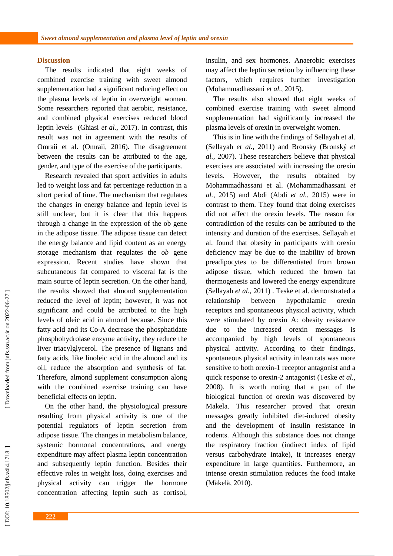#### **Discussion**

The results indicated that eight weeks of combined exercise training with sweet almond supplementation had a significant reducing effect on the plasma levels of leptin in overweight women. Some researchers reported that aerobic, resistance , and combined physical exercises reduced blood leptin levels (Ghiasi *et al.*, 2017) . In contrast, this result was not in agreement with the results of Omraii et al. (Omraii, 2016). The disagreement between the results can be attributed to the age, gender, and type of the exercise of the participants .

Research revealed that sport activities in adults led to weight loss and fat percentage reduction in a short period of time. The mechanism that regulates the changes in energy balance and leptin level is still unclear, but it is clear that this happens through a change in the expression of the ob gene in the adipose tissue. The adipose tissue can detect the energy balance and lipid content as an energy storage mechanism that regulate s the *ob* gene expression. Recent studies have shown that subcutaneous fat compared to visceral fat is the main source of leptin secretion. On the other hand, the results showed that almond supplementation reduced the level of leptin; however, it was not significant and could be attributed to the high levels of oleic acid in almond because. Since this fatty acid and its Co -A decrease the phosphatidate phosphohydrolase enzyme activity , they reduce the liver triacylglycerol. The presence of lignans and fatty acids , like linoleic acid in the almond and its oil, reduce the absorption and synthesis of fat. Therefore, almond supplement consumption along with the combined exercise training can have beneficial effects on leptin.

On the other hand, the physiological pressure resulting from physical activity is one of the potential regulators of leptin secretion from adipose tissue. The changes in metabolism balance, systemic hormonal concentrations, and energy expenditure may affect plasma leptin concentration and subsequently leptin function. Besides their effective roles in weight loss, doing exercises and physical activity can trigger the hormone concentration affecting leptin such as cortisol, insulin, and sex hormones. Anaerobic exercises may affect the leptin secretion by influencing these factors, which requires further investigation (Mohammadhassani *et al.*, 2015) .

The results also showed that eight weeks of combined exercise training with sweet almond supplementation had significantly increased the plasma levels of orexin in overweight women.

This is in line with the findings of Sellayah et al. (Sellayah *et al.*, 2011) and Bronsky (Bronský *et al.*, 2007). These researchers believe that physical exercises are associated with increasing the orexin levels. However, the results obtained by Mohammadhassani et al . (Mohammadhassani *et al.*, 2015) and Abdi (Abdi *et al.*, 2015) were in contrast to them. Th ey found that doing exercises did not affect the orexin levels. The reason for contradiction of the results can be attributed to the intensity and duration of the exercises. Sellayah et al. found that obesity in participants with orexin deficiency may be due to the inability of brown preadipocytes to be differentiated from brown adipose tissue, which reduced the brown fat thermogenesis and lowered the energy expenditure (Sellayah *et al.*, 2011) . Teske et al. demonstrated a relationship between hypothalamic orexin receptors and spontaneous physical activity , which were stimulated by orexin A: obesity resistance due to the increased orexin messages is accompanied by high levels of spontaneous physical activity. According to their findings, spontaneous physical activity in lean rats was more sensitive to both orexin -1 receptor antagonist and a quick response to orexin -2 antagonist (Teske *et al.*, 2008). It is worth noting that a part of the biological function of orexin was discovered by Makela. This researcher proved that orexin messages greatly inhibited diet -induced obesity and the development of insulin resistance in rodents. Although this substance does not change the respiratory fraction (indirect index of lipid versus carbohydrate intake), it increases energy expenditure in large quantities. Furthermore, an intense orexin stimulation reduces the food intake (Mäkelä, 2010) .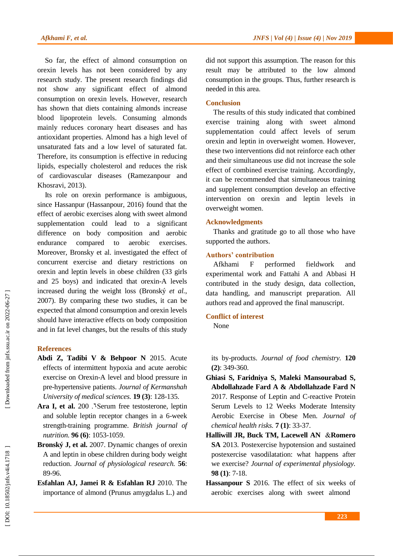So far, the effect of almond consumption on orexin levels has not been considered by any research study. The present research findings did not show any significant effect of almond consumption on orexin levels. However, research has shown that diets containing almonds increase blood lipoprotein levels. Consuming almonds mainly reduces coronary heart diseases and ha s antioxidant properties. Almond has a high level of unsaturated fats and a low level of saturated fat. Therefore, its consumption is effective in reducing lipids, especially cholesterol and reduces the risk of cardiovascular diseases (Ramezanpour and Khosravi, 2013) .

Its role on orexin performance is ambiguous, since Hassanpur (Hassanpour, 2016) found that the effect of aerobic exercises along with sweet almond supplementation could lead to a significant difference on body composition and aerobic endurance compared to aerobic exercises. Moreover, Bronsky et al. investigated the effect of concurrent exercise and dietary restrictions on orexin and leptin levels in obese children (33 girls and 25 boys) and indicated that orexin -A levels increased during the weight loss (Bronský *et al.*, 2007). By comparing these two studies, it can be expected that almond consumption and orexin levels should have interactive effects on body composition and in fat level changes, but the results of this study

#### **References**

- **Abdi Z, Tadibi V & Behpoor N** 2015. Acute effects of intermittent hypoxia and acute aerobic exercise on Orexin -A level and blood pressure in pre -hypertensive patients. *Journal of Kermanshah University of medical sciences.* **19 (3)**: 128 -135.
- Ara I, et al. 200 . Serum free testosterone, leptin and soluble leptin receptor changes in a 6 -week strength -training programme. *British journal of nutrition.* **96 (6)**: 1053 -1059.
- **Bronský J, et al.** 2007. Dynamic changes of orexin A and leptin in obese children during body weight reduction. *Journal of physiological research.* **56**: 89 -96.
- **Esfah lan AJ, Jamei R & Esfah lan RJ** 2010. The importance of almond (Prunus amygdalus L.) and

did not support this assumption. The reason for this result may be attributed to the low almond consumption in the groups. Thus , further research is needed in this area .

#### **Conclusion**

The results of this study indicated that combined exercise training along with sweet almond supplementation could affect levels of serum orexin and leptin in overweight women. However, these two interventions did not reinforce each other and their simultaneous use did not increase the sole effect of combined exercise training. Accordingly, it can be recommended that simultaneous training and supplement consumption develop an effective intervention on orexin and leptin levels in overweight women .

#### **Acknowledgments**

Thanks and gratitude go to all those who have supported the authors.

## **Authors' contribution**

Afkhami F performed fieldwork and experimental work and Fattahi A and Abbasi H contributed in the study design, data collection, data handling , and manuscript preparation. All authors read and approved the final manuscript .

## **Conflict of interest**

None

its by -products. *Journal of food chemistry.* **120 (2)**: 349 -360.

- **Ghiasi S, Faridniya S, Maleki Mansourabad S, Abdollahzade Fard A & Abdollahzade Fard N**  2017. Response of Leptin and C -reactive Protein Serum Levels to 12 Weeks Moderate Intensity Aerobic Exercise in Obese Men. *Journal of chemical health risks.* **7 (1)**: 33 -37 .
- **Halliwill JR, Buck TM, Lacewell AN** &**Romero SA** 2013. Postexercise hypotension and sustained postexercise vasodilatation: what happens after we exercise? *Journal of experimental physiology.* **98 (1)**: 7 -18.
- **Hassanpour S** 2016. The effect of six weeks of aerobic exercises along with sweet almond